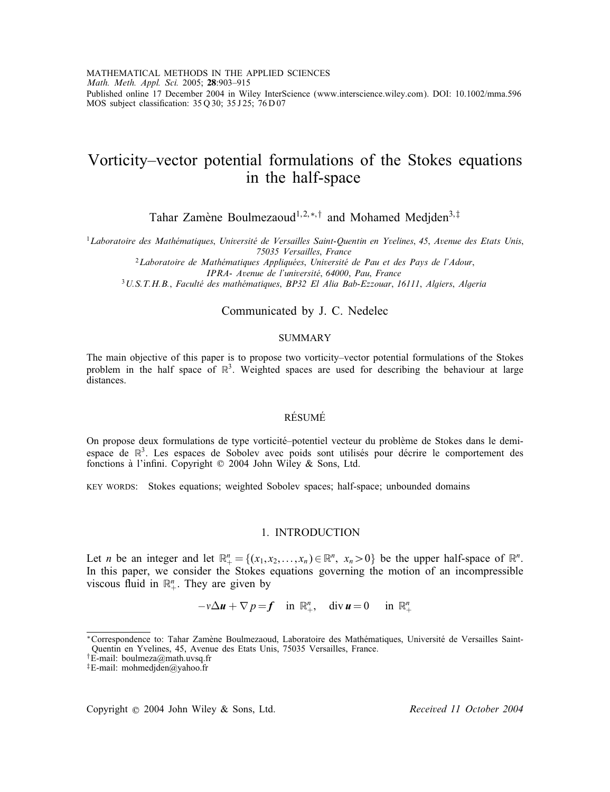MATHEMATICAL METHODS IN THE APPLIED SCIENCES *Math. Meth. Appl. Sci.* 2005; 28:903–915 Published online 17 December 2004 in Wiley InterScience (www.interscience.wiley.com). DOI: 10.1002/mma.596 MOS subject classification:  $35Q30$ ;  $35J25$ ;  $76D07$ 

# Vorticity–vector potential formulations of the Stokes equations in the half-space

Tahar Zamène Boulmezaoud<sup>1,2,∗,†</sup> and Mohamed Medjden<sup>3,‡</sup>

<sup>1</sup>Laboratoire des Mathématiques, Université de Versailles Saint-Quentin en Yvelines, 45, Avenue des Etats Unis,<br>75035 Versailles, France

<sup>2</sup>Laboratoire de Mathématiques Appliquées, Université de Pau et des Pays de l'Adour,<br>*IPRA- Avenue de l'université*, 64000, Pau, France

*IPRA- Avenue de l'universite*; *<sup>64000</sup>*; *Pau*; *France* <sup>3</sup>*U.S.T.H.B.*; *Faculte des math ematiques* ; *BP32 El Alia Bab-Ezzouar*; *<sup>16111</sup>*; *Algiers*; *Algeria*

# Communicated by J. C. Nedelec

#### SUMMARY

The main objective of this paper is to propose two vorticity–vector potential formulations of the Stokes problem in the half space of  $\mathbb{R}^3$ . Weighted spaces are used for describing the behaviour at large distances.

## **RÉSUMÉ**

On propose deux formulations de type vorticité-potentiel vecteur du problème de Stokes dans le demiespace de  $\mathbb{R}^3$ . Les espaces de Sobolev avec poids sont utilisés pour décrire le comportement des fonctions à l'infini. Copyright © 2004 John Wiley & Sons, Ltd.

KEY WORDS: Stokes equations; weighted Sobolev spaces; half-space; unbounded domains

#### 1. INTRODUCTION

Let *n* be an integer and let  $\mathbb{R}_+^n = \{(x_1, x_2, \ldots, x_n) \in \mathbb{R}^n, x_n > 0\}$  be the upper half-space of  $\mathbb{R}^n$ .<br>In this paper, we consider the Stokes equations governing the motion of an incompressible In this paper, we consider the Stokes equations governing the motion of an incompressible viscous fluid in  $\mathbb{R}^n_+$ . They are given by

$$
-v\Delta u + \nabla p = f \quad \text{in } \mathbb{R}^n_+, \quad \text{div } u = 0 \quad \text{in } \mathbb{R}^n_+
$$

Copyright ? 2004 John Wiley & Sons, Ltd. *Received 11 October 2004*

<sup>\*</sup>Correspondence to: Tahar Zamène Boulmezaoud, Laboratoire des Mathématiques, Université de Versailles Saint-Quentin en Yvelines, 45, Avenue des Etats Unis, 75035 Versailles, France.

<sup>&</sup>lt;sup>†</sup>E-mail: boulmeza@math.uvsq.fr

<sup>‡</sup>E-mail: mohmedjden@yahoo.fr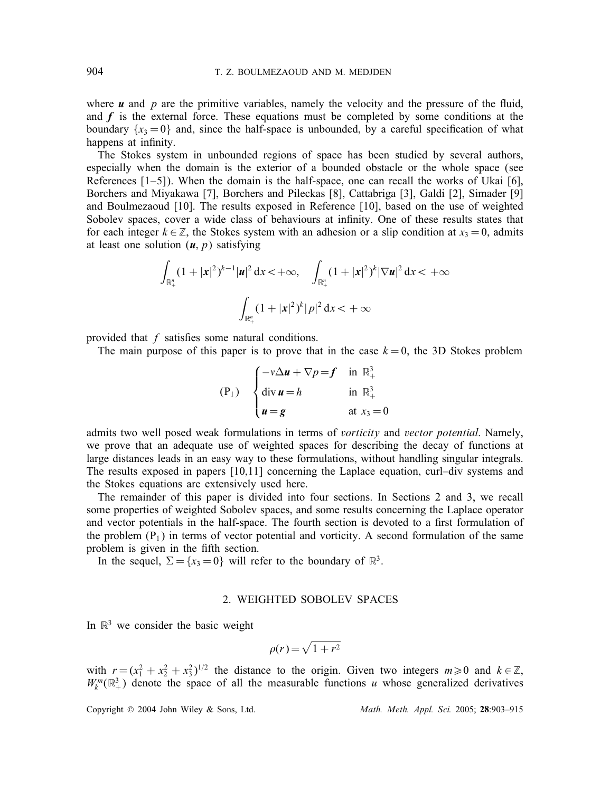where  $\boldsymbol{u}$  and  $\boldsymbol{p}$  are the primitive variables, namely the velocity and the pressure of the fluid, and  $f$  is the external force. These equations must be completed by some conditions at the boundary  $\{x_3 = 0\}$  and, since the half-space is unbounded, by a careful specification of what happens at infinity.

The Stokes system in unbounded regions of space has been studied by several authors, especially when the domain is the exterior of a bounded obstacle or the whole space (see References  $[1-5]$ ). When the domain is the half-space, one can recall the works of Ukai  $[6]$ , Borchers and Miyakawa [7], Borchers and Pileckas [8], Cattabriga [3], Galdi [2], Simader [9] and Boulmezaoud [10]. The results exposed in Reference [10], based on the use of weighted Sobolev spaces, cover a wide class of behaviours at infinity. One of these results states that for each integer  $k \in \mathbb{Z}$ , the Stokes system with an adhesion or a slip condition at  $x_3 = 0$ , admits at least one solution  $(u, p)$  satisfying

$$
\int_{\mathbb{R}^n_+} (1+|x|^2)^{k-1} |u|^2 \, \mathrm{d}x < +\infty, \quad \int_{\mathbb{R}^n_+} (1+|x|^2)^k |\nabla u|^2 \, \mathrm{d}x < +\infty
$$

$$
\int_{\mathbb{R}^n_+} (1+|x|^2)^k |p|^2 \, \mathrm{d}x < +\infty
$$

provided that  $f$  satisfies some natural conditions.

The main purpose of this paper is to prove that in the case  $k = 0$ , the 3D Stokes problem

$$
(P_1) \quad \begin{cases} -v\Delta u + \nabla p = f & \text{in } \mathbb{R}^3_+ \\ \text{div } u = h & \text{in } \mathbb{R}^3_+ \\ u = g & \text{at } x_3 = 0 \end{cases}
$$

admits two well posed weak formulations in terms of *vorticity* and *vector potential*. Namely, we prove that an adequate use of weighted spaces for describing the decay of functions at large distances leads in an easy way to these formulations, without handling singular integrals. The results exposed in papers [10,11] concerning the Laplace equation, curl–div systems and the Stokes equations are extensively used here.

The remainder of this paper is divided into four sections. In Sections 2 and 3, we recall some properties of weighted Sobolev spaces, and some results concerning the Laplace operator and vector potentials in the half-space. The fourth section is devoted to a first formulation of the problem  $(P_1)$  in terms of vector potential and vorticity. A second formulation of the same problem is given in the fifth section.

In the sequel,  $\Sigma = \{x_3 = 0\}$  will refer to the boundary of  $\mathbb{R}^3$ .

## 2. WEIGHTED SOBOLEV SPACES

In  $\mathbb{R}^3$  we consider the basic weight

$$
\rho(r) = \sqrt{1 + r^2}
$$

with  $r = (x_1^2 + x_2^2 + x_3^2)^{1/2}$  the distance to the origin. Given two integers  $m \ge 0$  and  $k \in \mathbb{Z}$ ,  $W^m(\mathbb{R}^3)$  denote the space of all the measurable functions u whose generalized derivatives  $W_k^m(\mathbb{R}^3_+)$  denote the space of all the measurable functions u whose generalized derivatives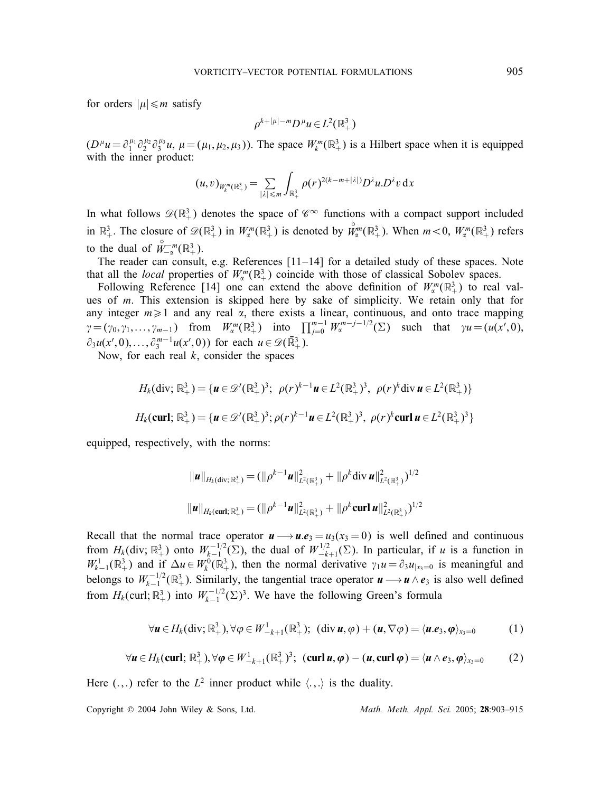for orders  $|\mu| \leq m$  satisfy

$$
\rho^{k+|\mu|-m}D^{\mu}u \in L^2(\mathbb{R}^3_+)
$$

 $(D^{\mu}u = \partial_1^{\mu_1} \partial_2^{\mu_2} \partial_3^{\mu_3}u$ ,  $\mu = (\mu_1, \mu_2, \mu_3)$ . The space  $W_k^m(\mathbb{R}^3_+)$  is a Hilbert space when it is equipped with the inner product: with the inner product:

$$
(u,v)_{W_k^m(\mathbb{R}^3_+)} = \sum_{|\lambda| \leq m} \int_{\mathbb{R}^3_+} \rho(r)^{2(k-m+|\lambda|)} D^{\lambda} u D^{\lambda} v \, \mathrm{d}x
$$

In what follows  $\mathscr{D}(\mathbb{R}^3_+)$  denotes the space of  $\mathscr{C}^{\infty}$  functions with a compact support included in  $\mathbb{R}^3_+$ . The closure of  $\mathscr{D}(\mathbb{R}^3_+)$  in  $W^m_{\alpha}(\mathbb{R}^3_+)$  is denoted by  $\overset{\circ}{W}^m_{\alpha}(\mathbb{R}^3_+)$ . When  $m < 0$ ,  $W^m_{\alpha}(\mathbb{R}^3_+)$  refers to the dual of  $\overset{\circ}{W}^{-m}_{-\alpha}(\mathbb{R}^3_+).$ <br>The reader can consult

The reader can consult, e.g. References [11–14] for a detailed study of these spaces. Note that all the *local* properties of  $W_{\alpha}^{m}(\mathbb{R}^{3}_{+})$  coincide with those of classical Sobolev spaces.<br>Following Reference [14] one can extend the above definition of  $W^{m}(\mathbb{R}^{3})$  to real

Following Reference [14] one can extend the above definition of  $W_{\alpha}^{m}(\mathbb{R}^{3}_{+})$  to real val-<br>s of m. This extension is skinned here by sake of simplicity. We retain only that for ues of m. This extension is skipped here by sake of simplicity. We retain only that for<br>any integer  $m > 1$  and any real  $\alpha$  there exists a linear continuous and onto trace manning any integer  $m \ge 1$  and any real  $\alpha$ , there exists a linear, continuous, and onto trace mapping<br> $\alpha = (\alpha_1, \alpha_2, \dots, \alpha_n)$  from  $W^m(\mathbb{D}^3)$  into  $\prod^{m-1} W^{m-j-1/2}(\Sigma)$  such that  $\alpha u = (u(x^i, 0))$  $\gamma = (\gamma_0, \gamma_1, \dots, \gamma_{m-1})$  from  $W_{\alpha}^{m}(\mathbb{R}^3_+)$  into  $\prod_{j=0}^{m-1} W_{\alpha}^{m-j-1/2}(\Sigma)$  such that  $\gamma u = (u(x', 0),$  $\partial_3 u(x',0), \dots, \partial_3^{m-1} u(x',0)$  for each  $u \in \mathcal{D}(\mathbb{R}^3_+)$ .<br>Now for each real k consider the spaces

Now, for each real  $k$ , consider the spaces

$$
H_k(\text{div}; \mathbb{R}^3_+) = \{ \mathbf{u} \in \mathscr{D}'(\mathbb{R}^3_+)^3; \ \rho(r)^{k-1} \mathbf{u} \in L^2(\mathbb{R}^3_+)^3, \ \rho(r)^k \text{div } \mathbf{u} \in L^2(\mathbb{R}^3_+) \}
$$

$$
H_k(\text{curl}; \mathbb{R}^3_+) = \{ \mathbf{u} \in \mathscr{D}'(\mathbb{R}^3_+)^3; \rho(r)^{k-1} \mathbf{u} \in L^2(\mathbb{R}^3_+)^3, \ \rho(r)^k \text{curl } \mathbf{u} \in L^2(\mathbb{R}^3_+)^3 \}
$$

equipped, respectively, with the norms:

$$
\|u\|_{H_k(\text{div};\mathbb{R}^3_+)} = (\|\rho^{k-1}u\|_{L^2(\mathbb{R}^3_+)}^2 + \|\rho^k \text{div } u\|_{L^2(\mathbb{R}^3_+)}^2)^{1/2}
$$
  

$$
\|u\|_{H_k(\text{curl};\mathbb{R}^3_+)} = (\|\rho^{k-1}u\|_{L^2(\mathbb{R}^3_+)}^2 + \|\rho^k \text{curl } u\|_{L^2(\mathbb{R}^3_+)}^2)^{1/2}
$$

Recall that the normal trace operator  $u \rightarrow u.e_3 = u_3(x_3 = 0)$  is well defined and continuous from  $H_1(\text{div } \mathbb{R}^3)$  onto  $W^{-1/2}(\Sigma)$  the dual of  $W^{1/2}(\Sigma)$ . In particular, if u is a function in from  $H_k$ (div;  $\mathbb{R}^3_+$ ) onto  $W_{k-1/2}^{-1/2}(\Sigma)$ , the dual of  $W_{-k+1}^{1/2}(\Sigma)$ . In particular, if u is a function in  $W^1$  ( $\mathbb{R}^3$ ) and if  $\Delta u \in W^0(\mathbb{R}^3)$  then the normal derivative  $\mathbb{R}^n u = \partial_0 u$ , is mean  $W_{k-1}^{1}(\mathbb{R}^{3}_{+})$  and if  $\Delta u \in W_{k}^{0}(\mathbb{R}^{3}_{+})$ , then the normal derivative  $\gamma_{1}u = \partial_{3}u_{|_{X_{3}=0}}$  is meaningful and halongs to  $W^{-1/2}(\mathbb{R}^{3}_{+})$ . Similarly, the top contiel trace approach  $u_{k+1}$ , is also we belongs to  $W_{k-1}^{-1/2}(\mathbb{R}^3)$ . Similarly, the tangential trace operator  $u \rightarrow u \wedge e_3$  is also well defined from  $H_k(\text{curl}; \mathbb{R}^3_+)$  into  $W_{k-1}^{-1/2}(\Sigma)^3$ . We have the following Green's formula

$$
\forall \boldsymbol{u} \in H_k(\text{div};\mathbb{R}^3_+), \forall \varphi \in W^1_{-k+1}(\mathbb{R}^3_+); \ (\text{div}\,\boldsymbol{u},\varphi) + (\boldsymbol{u},\nabla\varphi) = \langle \boldsymbol{u}.\boldsymbol{e}_3, \boldsymbol{\varphi} \rangle_{x_3=0} \tag{1}
$$

$$
\forall \boldsymbol{u} \in H_k(\textbf{curl};\,\mathbb{R}^3_+), \forall \boldsymbol{\varphi} \in W^1_{-k+1}(\mathbb{R}^3_+)^3; \ (\textbf{curl } \boldsymbol{u},\boldsymbol{\varphi}) - (\boldsymbol{u},\textbf{curl } \boldsymbol{\varphi}) = \langle \boldsymbol{u} \wedge \boldsymbol{e}_3, \boldsymbol{\varphi} \rangle_{x_3=0} \tag{2}
$$

Here  $(.,.)$  refer to the  $L^2$  inner product while  $\langle .,.\rangle$  is the duality.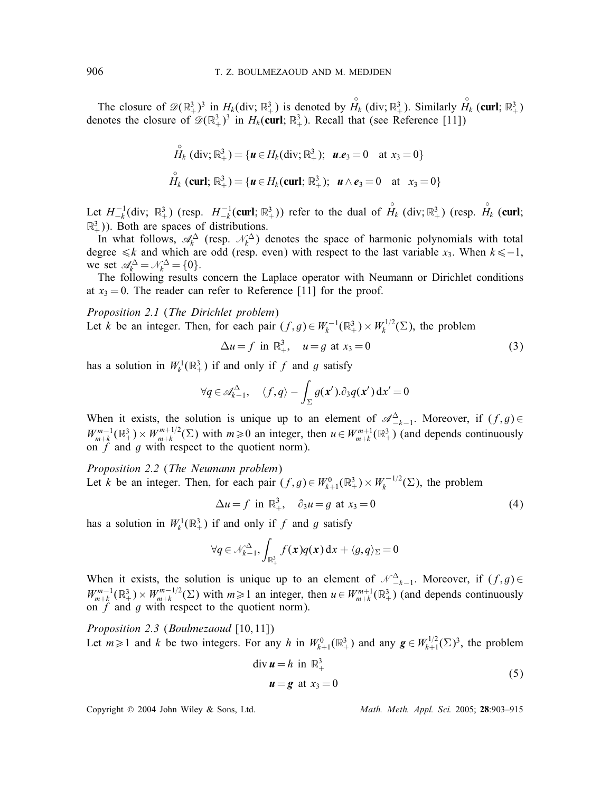The closure of  $\mathscr{D}(\mathbb{R}^3_+)^3$  in  $H_k(\text{div}; \mathbb{R}^3_+)$  is denoted by  $\overset{\circ}{H}_k(\text{div}; \mathbb{R}^3_+)$ . Similarly  $\overset{\circ}{H}_k(\text{curl}; \mathbb{R}^3_+)$ <br>notes the closure of  $\mathscr{D}(\mathbb{R}^3\, 3^3)$  in  $H_k(\text{curl}; \mathbb{R}^3)$ . Recall that (se denotes the closure of  $\mathscr{D}(\mathbb{R}^3_+)^3$  in  $H_k(\text{curl}; \mathbb{R}^3_+)$ . Recall that (see Reference [11])

$$
\hat{H}_k \text{ (div; } \mathbb{R}^3_+) = \{ \mathbf{u} \in H_k \text{ (div; } \mathbb{R}^3_+) ; \ \mathbf{u}.\mathbf{e}_3 = 0 \ \text{ at } x_3 = 0 \}
$$
\n
$$
\hat{H}_k \text{ (curl; } \mathbb{R}^3_+) = \{ \mathbf{u} \in H_k \text{ (curl; } \mathbb{R}^3_+) ; \ \mathbf{u} \wedge \mathbf{e}_3 = 0 \ \text{ at } x_3 = 0 \}
$$

Let  $H_{-k}^{-1}$ (div;  $\mathbb{R}^3_+$ ) (resp.  $H_{-k}^{-1}$ (curl;  $\mathbb{R}^3_+$ )) refer to the dual of  $\overset{\circ}{H}_k$  (div;  $\mathbb{R}^3_+$ ) (resp.  $\overset{\circ}{H}_k$  (curl;  $\mathbb{R}^3_+$ )). Both are spaces of distributions  $\mathbb{R}^3_+$ )). Both are spaces of distributions.

In what follows,  $\mathcal{A}_k^{\Delta}$  (resp.  $\mathcal{N}_k^{\Delta}$ ) denotes the space of harmonic polynomials with total orge  $\leq k$  and which are odd (resp. even) with respect to the last variable  $x$ . When  $k \leq -1$ degree  $\le k$  and which are odd (resp. even) with respect to the last variable x<sub>3</sub>. When  $k\le-1$ , we set  $\mathcal{A}_k^{\Delta} = \mathcal{N}_k^{\Delta} = \{0\}.$ <br>The following results

The following results concern the Laplace operator with Neumann or Dirichlet conditions at  $x_3 = 0$ . The reader can refer to Reference [11] for the proof.

*Proposition 2.1* (*The Dirichlet problem*) Let k be an integer. Then, for each pair  $(f,g) \in W_k^{-1}(\mathbb{R}^3_+) \times W_k^{1/2}(\Sigma)$ , the problem

$$
\Delta u = f \text{ in } \mathbb{R}^3_+, \quad u = g \text{ at } x_3 = 0 \tag{3}
$$

has a solution in  $W_k^1(\mathbb{R}^3_+)$  if and only if f and g satisfy

$$
\forall q \in \mathscr{A}_{k-1}^{\Delta}, \quad \langle f, q \rangle - \int_{\Sigma} g(x') \partial_3 q(x') dx' = 0
$$

When it exists, the solution is unique up to an element of  $\mathscr{A}^{\Delta}_{-k-1}$ . Moreover, if  $(f,g) \in$ <br> $W^{m-1}(\mathbb{R}^3) \times W^{m+1/2}(\Sigma)$  with  $w > 0$  or integer than  $w \in W^{m+1}(\mathbb{R}^3)$  (and denote continuously  $W_{m+k}^{m-1}(\mathbb{R}^3) \times W_{m+k}^{m+1/2}(\Sigma)$  with  $m \ge 0$  an integer, then  $u \in W_{m+k}^{m+1}(\mathbb{R}^3)$  (and depends continuously on f and a with respect to the quotient norm) on  $f$  and  $g$  with respect to the quotient norm).

*Proposition 2.2* (*The Neumann problem*) Let k be an integer. Then, for each pair  $(f,g) \in W_{k+1}^0(\mathbb{R}^3_+) \times W_k^{-1/2}(\Sigma)$ , the problem

$$
\Delta u = f \text{ in } \mathbb{R}^3_+, \quad \partial_3 u = g \text{ at } x_3 = 0 \tag{4}
$$

has a solution in  $W_k^1(\mathbb{R}^3_+)$  if and only if f and g satisfy

$$
\forall q \in \mathcal{N}_{k-1}^{\Delta}, \int_{\mathbb{R}^3_+} f(x) q(x) \, \mathrm{d}x + \langle g, q \rangle_{\Sigma} = 0
$$

When it exists, the solution is unique up to an element of  $\mathcal{N}_{-k-1}^{\Delta}$ . Moreover, if  $(f,g) \in$ <br> $W^{m-1}(\mathbb{R}^3) \cup W^{m-1/2}(\Sigma)$  with  $g \geq 1$  or integer than  $g \in W^{m+1}(\mathbb{R}^3)$  (and denote each portionaal)  $W_{m+k}^{m-1}(\mathbb{R}^3) \times W_{m+k}^{m-1/2}(\Sigma)$  with  $m \ge 1$  an integer, then  $u \in W_{m+k}^{m+1}(\mathbb{R}^3)$  (and depends continuously on f and a with respect to the quotient norm) on  $f$  and  $g$  with respect to the quotient norm).

*Proposition 2.3 (Boulmezaoud [10,11])* Let  $m \ge 1$  and k be two integers. For any h in  $W_{k+1}^0(\mathbb{R}^3_+)$  and any  $g \in W_{k+1}^{1/2}(\Sigma)^3$ , the problem

$$
\begin{aligned} \operatorname{div} \boldsymbol{u} &= h \text{ in } \mathbb{R}^3_+ \\ \boldsymbol{u} &= \boldsymbol{g} \text{ at } x_3 = 0 \end{aligned} \tag{5}
$$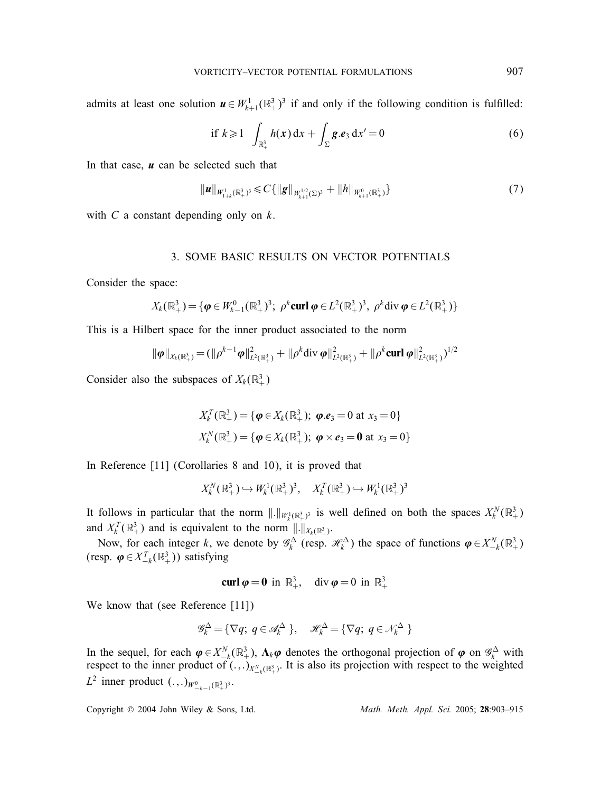admits at least one solution  $u \in W_{k+1}^1(\mathbb{R}^3_+)^3$  if and only if the following condition is fulfilled:

if 
$$
k \ge 1
$$
  $\int_{\mathbb{R}^3_+} h(x) dx + \int_{\Sigma} g.e_3 dx' = 0$  (6)

In that case, *u* can be selected such that

$$
\|\boldsymbol{u}\|_{W_{1+k}^1(\mathbb{R}^3_+)^3} \leqslant C\{\|\boldsymbol{g}\|_{W_{k+1}^{1/2}(\Sigma)^3} + \|h\|_{W_{k+1}^0(\mathbb{R}^3_+)}\}\tag{7}
$$

with  $C$  a constant depending only on  $k$ .

#### 3. SOME BASIC RESULTS ON VECTOR POTENTIALS

Consider the space:

$$
X_k(\mathbb{R}^3_+) = \{ \boldsymbol{\varphi} \in W^0_{k-1}(\mathbb{R}^3_+)^3; \ \rho^k \text{curl } \boldsymbol{\varphi} \in L^2(\mathbb{R}^3_+)^3, \ \rho^k \text{div } \boldsymbol{\varphi} \in L^2(\mathbb{R}^3_+) \}
$$

This is a Hilbert space for the inner product associated to the norm

$$
\|\boldsymbol{\varphi}\|_{X_k(\mathbb{R}^3_+)} = (\|\rho^{k-1}\boldsymbol{\varphi}\|_{L^2(\mathbb{R}^3_+)}^2 + \|\rho^k\text{div}\,\boldsymbol{\varphi}\|_{L^2(\mathbb{R}^3_+)}^2 + \|\rho^k\text{curl}\,\boldsymbol{\varphi}\|_{L^2(\mathbb{R}^3_+)}^2)^{1/2}
$$

Consider also the subspaces of  $X_k(\mathbb{R}^3_+)$ 

$$
X_k^T(\mathbb{R}^3_+) = {\boldsymbol{\varphi}} \in X_k(\mathbb{R}^3_+); \; {\boldsymbol{\varphi}}.{\boldsymbol{e}}_3 = 0 \text{ at } x_3 = 0
$$
\n
$$
X_k^N(\mathbb{R}^3_+) = {\boldsymbol{\varphi}} \in X_k(\mathbb{R}^3_+); \; {\boldsymbol{\varphi}} \times {\boldsymbol{e}}_3 = {\bf 0} \text{ at } x_3 = 0
$$

In Reference [11] (Corollaries 8 and 10), it is proved that

 $X_k^N(\mathbb{R}^3_+) \hookrightarrow W_k^1(\mathbb{R}^3_+)^3$ ,  $X_k^T(\mathbb{R}^3_+) \hookrightarrow W_k^1(\mathbb{R}^3_+)^3$ 

It follows in particular that the norm  $\|.\|_{W_k^1(\mathbb{R}^3_+)}$  is well defined on both the spaces  $X_k^N(\mathbb{R}^3_+)$ and  $X_k^T(\mathbb{R}^3_+)$  and is equivalent to the norm  $||.||_{X_k(\mathbb{R}^3_+)}$ .<br>Now for each integer k we denote by  $\mathcal{O}_k$  (norm

Now, for each integer k, we denote by  $\mathscr{G}_k^{\Delta}$  (resp.  $\mathscr{H}_k^{\Delta}$ ) the space of functions  $\boldsymbol{\varphi} \in X_{-k}^N(\mathbb{R}^3_+)$ (resp.  $\varphi \in X_{-k}^T(\mathbb{R}^3_+)$ ) satisfying

$$
\operatorname{curl} \boldsymbol{\varphi} = \mathbf{0} \text{ in } \mathbb{R}^3_+, \quad \operatorname{div} \boldsymbol{\varphi} = 0 \text{ in } \mathbb{R}^3_+
$$

We know that (see Reference [11])

$$
\mathscr{G}_k^{\Delta} = \{ \nabla q; \ q \in \mathscr{A}_k^{\Delta} \}, \quad \mathscr{H}_k^{\Delta} = \{ \nabla q; \ q \in \mathscr{N}_k^{\Delta} \}
$$

In the sequel, for each  $\varphi \in X^N_{-k}(\mathbb{R}^3_+)$ ,  $\Lambda_k \varphi$  denotes the orthogonal projection of  $\varphi$  on  $\mathscr{G}_k^{\Delta}$  with respect to the unit product of  $(\Lambda_k)_{-k}$  and it is also its projection with respect to the weigh respect to the inner product of  $(.,.)_{X_{-k}^N(\mathbb{R}^3_+)}$ . It is also its projection with respect to the weighted L<sup>2</sup> inner product  $(.,.)_{W^0_{-k-1}(\mathbb{R}^3_+)^3}.$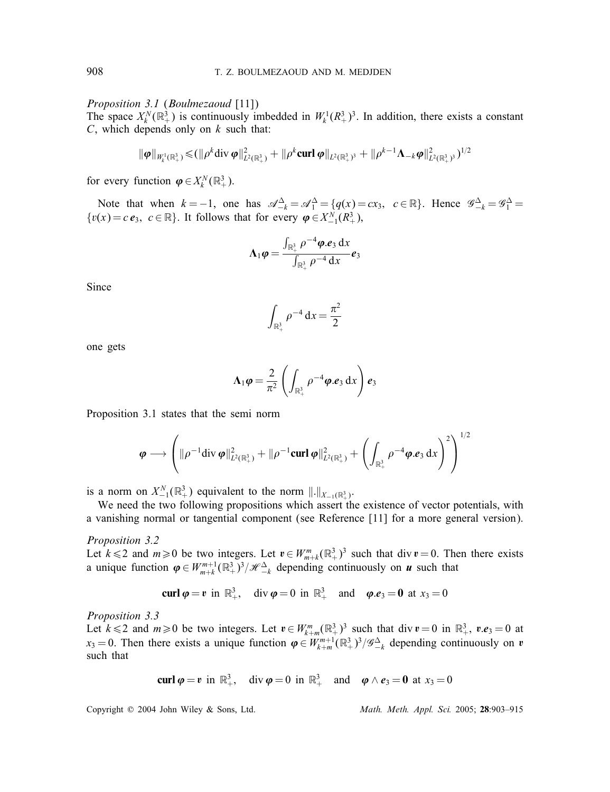*Proposition 3.1* (*Boulmezaoud* [11])

The space  $X_k^N(\mathbb{R}^3_+)$  is continuously imbedded in  $W_k^1(\mathbb{R}^3_+)$ <sup>3</sup>. In addition, there exists a constant  $C$  which depends only on k such that  $C$ , which depends only on  $k$  such that:

$$
\|\boldsymbol{\varphi}\|_{W_k^1(\mathbb{R}^3_+)} \leq ( \|\rho^k \mathrm{div}\,\boldsymbol{\varphi}\|_{L^2(\mathbb{R}^3_+)}^2 + \|\rho^k \mathrm{curl}\,\boldsymbol{\varphi}\|_{L^2(\mathbb{R}^3_+)}^2 + \|\rho^{k-1}\boldsymbol{\Lambda}_{-k}\boldsymbol{\varphi}\|_{L^2(\mathbb{R}^3_+)}^2)^{1/2}
$$

for every function  $\boldsymbol{\varphi} \in X_k^N(\mathbb{R}^3_+).$ 

Note that when  $k = -1$ , one has  $\mathcal{A}_{-k}^{\Delta} = \mathcal{A}_{1}^{\Delta} = \{q(x) = cx_3, c \in \mathbb{R}\}\)$ . Hence  $\mathcal{G}_{-k}^{\Delta} = \mathcal{G}_{1}^{\Delta} = (x) = cx_3, c \in \mathbb{R}$ .  $\{v(x) = c e_3, c \in \mathbb{R}\}.$  It follows that for every  $\varphi \in X^N_{-1}(\mathbb{R}^3_+),$ 

$$
\Lambda_1 \varphi = \frac{\int_{\mathbb{R}^3_+} \rho^{-4} \varphi \cdot e_3 \, \mathrm{d}x}{\int_{\mathbb{R}^3_+} \rho^{-4} \, \mathrm{d}x} e_3
$$

Since

$$
\int_{\mathbb{R}^3_+} \rho^{-4} \, \mathrm{d}x = \frac{\pi^2}{2}
$$

one gets

$$
\Lambda_1 \boldsymbol{\varphi} = \frac{2}{\pi^2} \left( \int_{\mathbb{R}^3_+} \rho^{-4} \boldsymbol{\varphi} . \boldsymbol{e}_3 \, dx \right) \boldsymbol{e}_3
$$

Proposition 3.1 states that the semi norm

$$
\boldsymbol{\varphi} \longrightarrow \left( \|\rho^{-1} \text{div } \boldsymbol{\varphi}\|_{L^2(\mathbb{R}^3_+)}^2 + \|\rho^{-1} \text{curl } \boldsymbol{\varphi}\|_{L^2(\mathbb{R}^3_+)}^2 + \left( \int_{\mathbb{R}^3_+} \rho^{-4} \boldsymbol{\varphi} . \boldsymbol{e}_3 \, dx \right)^2 \right)^{1/2}
$$

is a norm on  $X_{-1}^N(\mathbb{R}^3_+)$  equivalent to the norm  $\|.\|_{X_{-1}(\mathbb{R}^3_+)}$ .<br>We need the two following propositions which assert the

We need the two following propositions which assert the existence of vector potentials, with a vanishing normal or tangential component (see Reference [11] for a more general version).

*Proposition 3.2*

Let  $k \le 2$  and  $m \ge 0$  be two integers. Let  $v \in W_{m+k}^m(\mathbb{R}^3_+)^3$  such that div  $v = 0$ . Then there exists a unique function  $\boldsymbol{\varphi} \in W_{m+k}^{m+1}(\mathbb{R}^3_+)^3/\mathcal{H}_{-k}^{\Delta}$  depending continuously on *u* such that

$$
\operatorname{curl} \boldsymbol{\varphi} = \boldsymbol{v} \text{ in } \mathbb{R}^3_+, \quad \operatorname{div} \boldsymbol{\varphi} = 0 \text{ in } \mathbb{R}^3_+ \quad \text{and} \quad \boldsymbol{\varphi}. \boldsymbol{e}_3 = \boldsymbol{0} \text{ at } x_3 = 0
$$

*Proposition 3.3*

Let  $k \le 2$  and  $m \ge 0$  be two integers. Let  $v \in W_{k+m}^m(\mathbb{R}^3_+)^3$  such that div  $v = 0$  in  $\mathbb{R}^3_+$ ,  $v.e_3 = 0$  at  $v_2 = 0$ . Then there exists a unique function  $\omega \in W^{m+1}(\mathbb{R}^3_+)^3$  i.  $\omega \triangleq$  depending continuo  $x_3 = 0$ . Then there exists a unique function  $\varphi \in W^{m+1}_{k+m}(\mathbb{R}^3_+)^3/\mathscr{G}^{\Delta}_{-k}$  depending continuously on  $v$  such that such that

$$
\mathbf{curl}\,\boldsymbol{\varphi}=\boldsymbol{v}\,\,\mathrm{in}\,\,\mathbb{R}^3_+, \quad \mathrm{div}\,\boldsymbol{\varphi}=0\,\,\mathrm{in}\,\,\mathbb{R}^3_+\quad\mathrm{and}\quad \boldsymbol{\varphi}\wedge\boldsymbol{e}_3=\mathbf{0}\,\,\mathrm{at}\,\,x_3=0
$$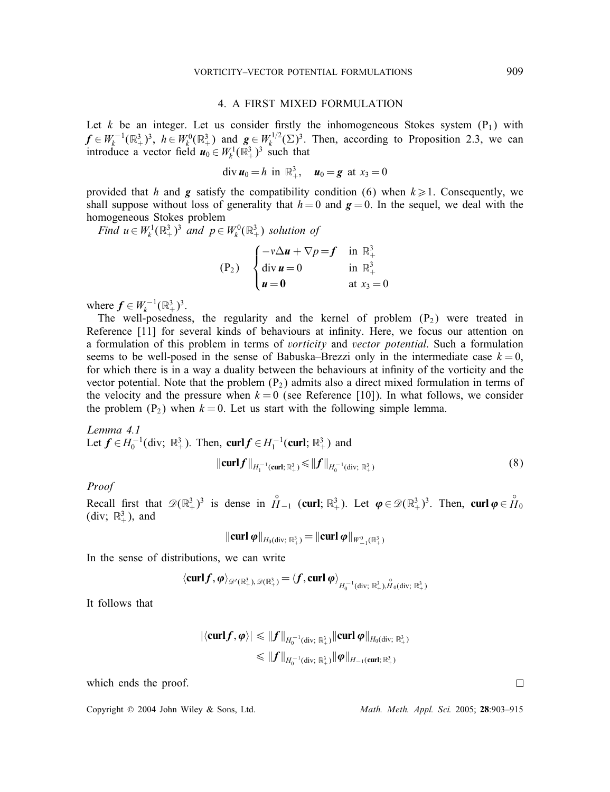#### 4. A FIRST MIXED FORMULATION

Let k be an integer. Let us consider firstly the inhomogeneous Stokes system  $(P_1)$  with  $f \in W_k^{-1}(\mathbb{R}^3_+)^3$ ,  $h \in W_k^0(\mathbb{R}^3_+)$  and  $g \in W_k^{1/2}(\Sigma)^3$ . Then, according to Proposition 2.3, we can introduce a vector field  $u_0 \in W_k^{1}(\mathbb{R}^3_+)^3$  such that introduce a vector field  $u_0 \in W_k^1(\mathbb{R}^3_+)^3$  such that

$$
\text{div } \bm{u}_0 = h \text{ in } \mathbb{R}^3_+, \quad \bm{u}_0 = \bm{g} \text{ at } x_3 = 0
$$

provided that h and g satisfy the compatibility condition (6) when  $k \ge 1$ . Consequently, we shall suppose without loss of generality that  $h = 0$  and  $g = 0$ . In the sequel, we deal with the homogeneous Stokes problem

*Find*  $u \in W_k^1(\mathbb{R}^3_+)^3$  *and*  $p \in W_k^0(\mathbb{R}^3_+)$  *solution of* 

$$
\begin{array}{ll}\n\text{(P}_2) & \begin{cases}\n-v\Delta u + \nabla p = f & \text{in } \mathbb{R}^3_+ \\
\text{div } u = 0 & \text{in } \mathbb{R}^3_+ \\
u = 0 & \text{at } x_3 = 0\n\end{cases}\n\end{array}
$$

where  $f \in W_k^{-1}(\mathbb{R}^3_+)^3$ .<br>The well-posednes

The well-posedness, the regularity and the kernel of problem  $(P_2)$  were treated in Reference [11] for several kinds of behaviours at infinity. Here, we focus our attention on a formulation of this problem in terms of *vorticity* and *vector potential*. Such a formulation seems to be well-posed in the sense of Babuska–Brezzi only in the intermediate case  $k = 0$ , for which there is in a way a duality between the behaviours at innity of the vorticity and the vector potential. Note that the problem  $(P_2)$  admits also a direct mixed formulation in terms of the velocity and the pressure when  $k = 0$  (see Reference [10]). In what follows, we consider the problem  $(P_2)$  when  $k = 0$ . Let us start with the following simple lemma.

*Lemma 4.1* Let  $f \in H_0^{-1}$ (div;  $\mathbb{R}^3_+$ ). Then, curl  $f \in H_1^{-1}$ (curl;  $\mathbb{R}^3_+$ ) and

$$
\|\text{curl} f\|_{H_1^{-1}(\text{curl};\,\mathbb{R}^3_+)} \le \|f\|_{H_0^{-1}(\text{div};\,\mathbb{R}^3_+)}
$$
\n(8)

# *Proof*

Recall first that  $\mathscr{D}(\mathbb{R}^3_+)^3$  is dense in  $H_{-1}$  (curl;  $\mathbb{R}^3_+$ ). Let  $\varphi \in \mathscr{D}(\mathbb{R}^3_+)^3$ . Then, curl  $\varphi \in H_0$ <br>(div:  $\mathbb{R}^3$ ) and (div;  $\mathbb{R}^3_+$ ), and

$$
\Vert \mathbf{curl}\, \boldsymbol{\varphi} \Vert_{H_0(\mathrm{div};\;\mathbb{R}^3_+)} = \Vert \mathbf{curl}\, \boldsymbol{\varphi} \Vert_{W^0_{-1}(\mathbb{R}^3_+)}
$$

In the sense of distributions, we can write

$$
\langle \operatorname{curl} f, \pmb{\varphi} \rangle_{\mathscr{D}'(\mathbb{R}^3_+) , \mathscr{D}(\mathbb{R}^3_+)} = \langle f, \operatorname{curl} \pmb{\varphi} \rangle_{H_0^{-1}(\operatorname{div}; \ \mathbb{R}^3_+) , \overset{\circ}{H}_0(\operatorname{div}; \ \mathbb{R}^3_+)}
$$

It follows that

$$
|\langle \operatorname{curl} f, \varphi \rangle| \leq \|f\|_{H_0^{-1}(\operatorname{div}; \; \mathbb{R}^3_+)} \|\operatorname{curl} \varphi\|_{H_0(\operatorname{div}; \; \mathbb{R}^3_+)}
$$
  

$$
\leq \|f\|_{H_0^{-1}(\operatorname{div}; \; \mathbb{R}^3_+)} \|\varphi\|_{H_{-1}(\operatorname{curl}; \; \mathbb{R}^3_+)}
$$

which ends the proof.

Copyright ? 2004 John Wiley & Sons, Ltd. *Math. Meth. Appl. Sci.* 2005; 28:903–915

 $\Box$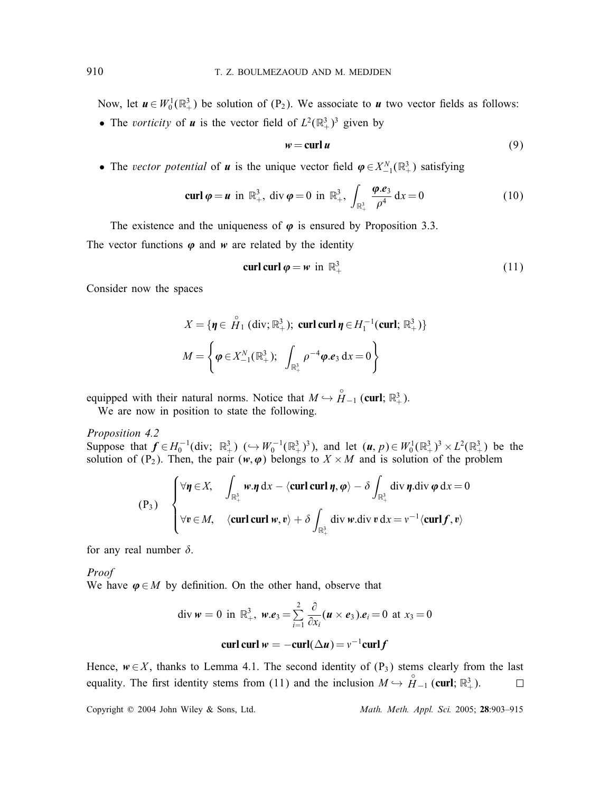Now, let  $u \in W_0^1(\mathbb{R}^3_+)$  be solution of  $(P_2)$ . We associate to *u* two vector fields as follows:

• The *vorticity* of *u* is the vector field of  $L^2(\mathbb{R}^3_+)^3$  given by

$$
w = \operatorname{curl} u \tag{9}
$$

• The *vector potential* of *u* is the unique vector field  $\varphi \in X_{-1}^N(\mathbb{R}^3_+)$  satisfying

$$
\operatorname{curl} \boldsymbol{\varphi} = \boldsymbol{u} \text{ in } \mathbb{R}^3_+, \text{ div } \boldsymbol{\varphi} = 0 \text{ in } \mathbb{R}^3_+, \int_{\mathbb{R}^3_+} \frac{\boldsymbol{\varphi} \cdot \boldsymbol{e}_3}{\rho^4} dx = 0 \tag{10}
$$

The existence and the uniqueness of  $\varphi$  is ensured by Proposition 3.3.

The vector functions  $\varphi$  and  $w$  are related by the identity

$$
\operatorname{curl} \operatorname{curl} \boldsymbol{\varphi} = \boldsymbol{w} \text{ in } \mathbb{R}^3_+ \tag{11}
$$

Consider now the spaces

$$
X = \{ \eta \in \overset{\circ}{H}_1(\text{div}; \mathbb{R}^3_+); \text{ curl curl } \eta \in H_1^{-1}(\text{curl}; \mathbb{R}^3_+) \}
$$

$$
M = \left\{ \varphi \in X_{-1}^N(\mathbb{R}^3_+); \int_{\mathbb{R}^3_+} \rho^{-4} \varphi \cdot e_3 \, dx = 0 \right\}
$$

equipped with their natural norms. Notice that  $M \hookrightarrow \overset{\circ}{H}_{-1}$  (curl;  $\mathbb{R}^3_+$ ).<br>We are now in position to state the following.

We are now in position to state the following.

*Proposition 4.2*

Suppose that  $f \in H_0^{-1}$  (div;  $\mathbb{R}^3_+$ ) ( $\hookrightarrow W_0^{-1}$  $(\mathbb{R}^3_+)^3$ ), and let  $(u, p) \in W_0^1$  $(\mathbb{R}^3_+)^3 \times L^2(\mathbb{R}^3_+)$  be the solution of  $(P_0)$ . Then the pair  $(w, \omega)$  belongs to  $X \times M$  and is solution of the proble solution of  $(P_2)$ . Then, the pair  $(w, \varphi)$  belongs to  $X \times M$  and is solution of the problem

$$
(P_3) \quad \begin{cases} \forall \eta \in X, & \int_{\mathbb{R}^3_+} w \cdot \eta \, \mathrm{d}x - \langle \mathbf{curl} \mathbf{curl} \eta, \varphi \rangle - \delta \int_{\mathbb{R}^3_+} \mathrm{div} \, \eta \cdot \mathrm{div} \, \varphi \, \mathrm{d}x = 0 \\ \forall v \in M, & \langle \mathbf{curl} \mathbf{curl} \, w, v \rangle + \delta \int_{\mathbb{R}^3_+} \mathrm{div} \, w \cdot \mathrm{div} \, v \, \mathrm{d}x = v^{-1} \langle \mathbf{curl} \, f, v \rangle \end{cases}
$$

for any real number  $\delta$ .

*Proof* We have  $\varphi \in M$  by definition. On the other hand, observe that

div 
$$
w = 0
$$
 in  $\mathbb{R}^3_+$ ,  $w.e_3 = \sum_{i=1}^2 \frac{\partial}{\partial x_i} (u \times e_3).e_i = 0$  at  $x_3 = 0$ 

$$
\operatorname{curl} \operatorname{curl} w = -\operatorname{curl} (\Delta u) = v^{-1} \operatorname{curl} f
$$

Hence, *w*∈*X*, thanks to Lemma 4.1. The second identity of (P<sub>3</sub>) stems clearly from the last equality. The first identity stems from (11) and the inclusion  $M \hookrightarrow \overset{\circ}{H}_{-1}$  (**curl**:  $\mathbb{R}^3$ ). equality. The first identity stems from (11) and the inclusion  $M \hookrightarrow \overset{\circ}{H}_{-1}(\text{curl}; \mathbb{R}^3_+)$ .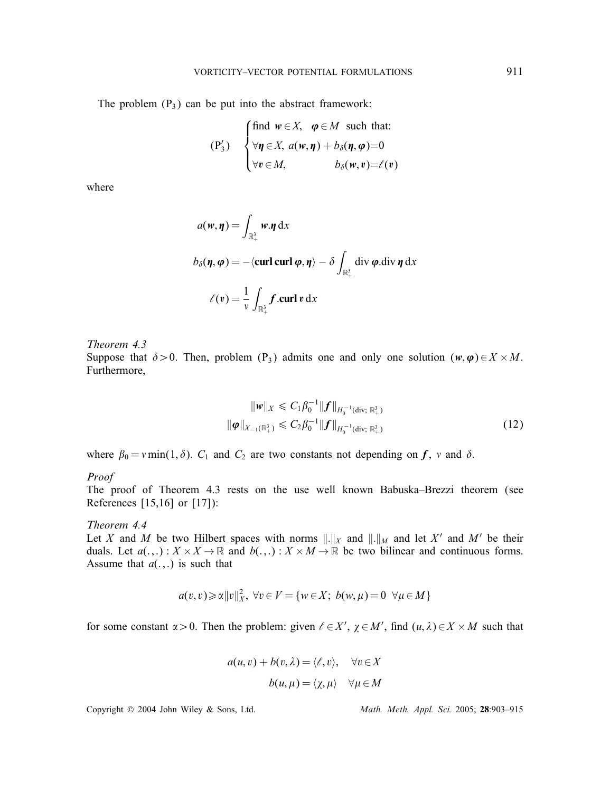The problem  $(P_3)$  can be put into the abstract framework:

$$
\begin{aligned}\n(\mathbf{P}_3') \quad \begin{cases}\n\text{find } \mathbf{w} \in X, & \mathbf{\varphi} \in M \text{ such that:} \\
\forall \mathbf{\eta} \in X, & a(\mathbf{w}, \mathbf{\eta}) + b_\delta(\mathbf{\eta}, \mathbf{\varphi}) = 0 \\
\forall \mathbf{v} \in M, & b_\delta(\mathbf{w}, \mathbf{v}) = \ell(\mathbf{v})\n\end{cases}\n\end{aligned}
$$

where

$$
a(w, \eta) = \int_{\mathbb{R}^3_+} w \cdot \eta \, dx
$$
  

$$
b_{\delta}(\eta, \varphi) = -\langle \operatorname{curl} \operatorname{curl} \varphi, \eta \rangle - \delta \int_{\mathbb{R}^3_+} \operatorname{div} \varphi \operatorname{div} \eta \, dx
$$
  

$$
\ell(v) = \frac{1}{v} \int_{\mathbb{R}^3_+} f \cdot \operatorname{curl} v \, dx
$$

*Theorem 4.3* Suppose that  $\delta > 0$ . Then, problem (P<sub>3</sub>) admits one and only one solution ( $w, \varphi$ )∈X × M. Furthermore,

$$
\|\mathbf{w}\|_{X} \leq C_{1}\beta_{0}^{-1}\|\mathbf{f}\|_{H_{0}^{-1}(\text{div};\mathbb{R}^{3}_{+})}
$$
  

$$
\|\varphi\|_{X_{-1}(\mathbb{R}^{3}_{+})} \leq C_{2}\beta_{0}^{-1}\|\mathbf{f}\|_{H_{0}^{-1}(\text{div};\mathbb{R}^{3}_{+})}
$$
 (12)

where  $\beta_0 = v \min(1, \delta)$ .  $C_1$  and  $C_2$  are two constants not depending on *f*, *v* and  $\delta$ .

#### *Proof*

The proof of Theorem 4.3 rests on the use well known Babuska–Brezzi theorem (see References [15,16] or [17]):

## *Theorem 4.4*

Let X and M be two Hilbert spaces with norms  $\Vert .\Vert_X$  and  $\Vert .\Vert_M$  and let X' and M' be their duals. Let  $a(.,.): X \times X \to \mathbb{R}$  and  $b(.,.): X \times M \to \mathbb{R}$  be two bilinear and continuous forms. Assume that  $a(.,.)$  is such that

$$
a(v,v) \geqslant \alpha ||v||_X^2, \ \forall v \in V = \{w \in X; \ b(w,\mu) = 0 \ \forall \mu \in M\}
$$

for some constant  $\alpha > 0$ . Then the problem: given  $\ell \in X'$ ,  $\chi \in M'$ , find  $(u, \lambda) \in X \times M$  such that

$$
a(u, v) + b(v, \lambda) = \langle \ell, v \rangle, \quad \forall v \in X
$$

$$
b(u, \mu) = \langle \chi, \mu \rangle \quad \forall \mu \in M
$$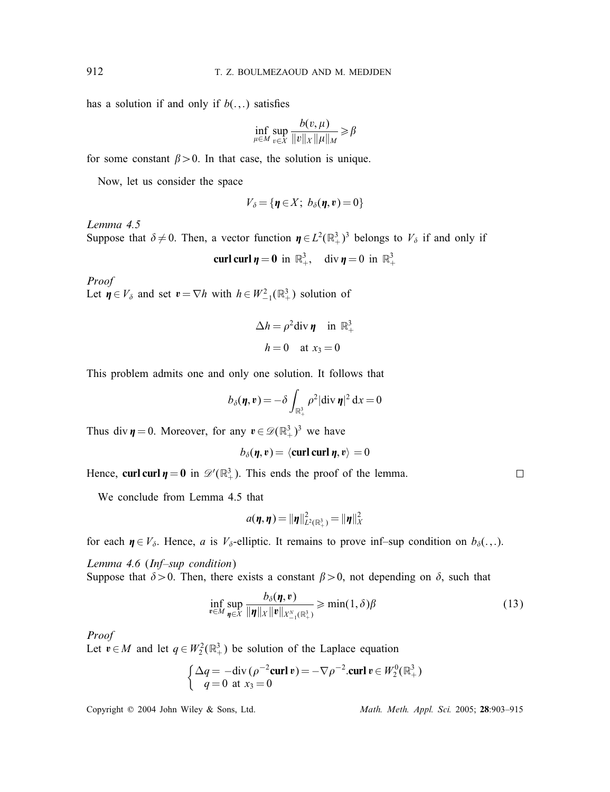has a solution if and only if  $b(.,.)$  satisfies

$$
\inf_{\mu \in M} \sup_{v \in X} \frac{b(v, \mu)}{\|v\|_X \|\mu\|_M} \geq \beta
$$

for some constant  $\beta > 0$ . In that case, the solution is unique.

Now, let us consider the space

$$
V_{\delta} = \{ \pmb{\eta} \in X; \ b_{\delta}(\pmb{\eta}, \pmb{v}) = 0 \}
$$

*Lemma 4.5*

Suppose that  $\delta \neq 0$ . Then, a vector function  $\eta \in L^2(\mathbb{R}^3_+)^3$  belongs to  $V_{\delta}$  if and only if

curl curl  $\eta = 0$  in  $\mathbb{R}^3_+$ , div  $\eta = 0$  in  $\mathbb{R}^3_+$ 

*Proof* Let  $\boldsymbol{\eta} \in V_{\delta}$  and set  $\boldsymbol{v} = \nabla h$  with  $h \in W^2_{-1}(\mathbb{R}^3_+)$  solution of

$$
\Delta h = \rho^2 \text{div } \pmb{\eta} \quad \text{in } \mathbb{R}^3_+
$$

$$
h = 0 \quad \text{at } x_3 = 0
$$

This problem admits one and only one solution. It follows that

$$
b_{\delta}(\eta, v) = -\delta \int_{\mathbb{R}^3_+} \rho^2 |\text{div }\eta|^2 \, dx = 0
$$

Thus div  $\eta = 0$ . Moreover, for any  $v \in \mathcal{D}(\mathbb{R}^3_+)^3$  we have

$$
b_{\delta}(\eta, v) = \langle \mathbf{curl} \mathbf{curl} \eta, v \rangle = 0
$$

Hence, **curl curl**  $\eta = 0$  in  $\mathcal{D}'(\mathbb{R}^3_+)$ . This ends the proof of the lemma.

We conclude from Lemma 4.5 that

$$
a(\eta, \eta) = \|\eta\|_{L^2(\mathbb{R}^3_+)}^2 = \|\eta\|_X^2
$$

for each  $\eta \in V_{\delta}$ . Hence, a is  $V_{\delta}$ -elliptic. It remains to prove inf–sup condition on  $b_{\delta}(\cdot,\cdot)$ .

*Lemma 4.6* (*Inf–sup condition*)

Suppose that  $\delta > 0$ . Then, there exists a constant  $\beta > 0$ , not depending on  $\delta$ , such that

$$
\inf_{\mathbf{v}\in M}\sup_{\mathbf{\eta}\in X}\frac{b_{\delta}(\mathbf{\eta},\mathbf{v})}{\|\mathbf{\eta}\|_{X}\|\mathbf{v}\|_{X_{-1}^N(\mathbb{R}^3_+)}}\geqslant\min(1,\delta)\beta
$$
\n(13)

#### *Proof*

Let  $v \in M$  and let  $q \in W_2^2(\mathbb{R}^3_+)$  be solution of the Laplace equation

$$
\begin{cases} \Delta q = -\text{div}(\rho^{-2} \text{curl } v) = -\nabla \rho^{-2} . \text{curl } v \in W_2^0(\mathbb{R}^3_+) \\ q = 0 \text{ at } x_3 = 0 \end{cases}
$$

Copyright ? 2004 John Wiley & Sons, Ltd. *Math. Meth. Appl. Sci.* 2005; 28:903–915

 $\Box$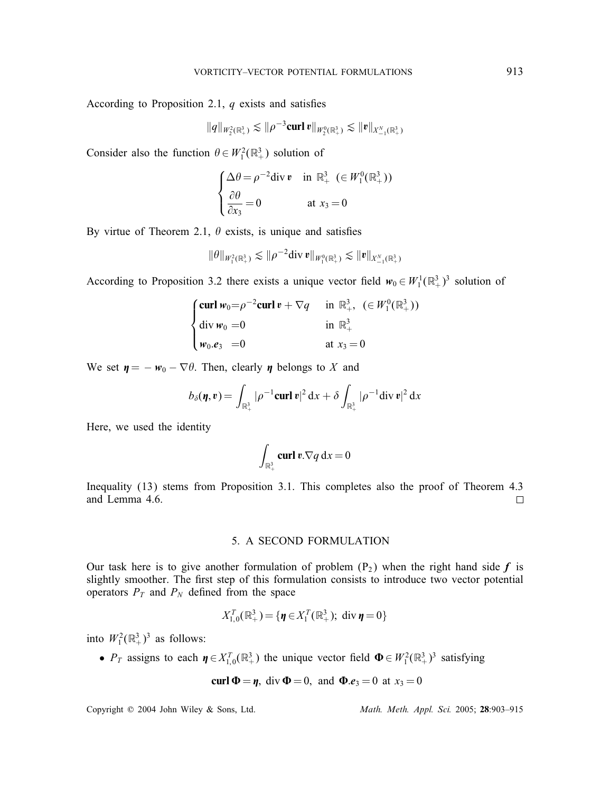According to Proposition 2.1,  $q$  exists and satisfies

$$
\|q\|_{W_2^2(\mathbb{R}^3_+)} \lesssim \|\rho^{-3}\mathrm{curl}\,v\|_{W_2^0(\mathbb{R}^3_+)} \lesssim \|v\|_{X_{-1}^N(\mathbb{R}^3_+)}
$$

Consider also the function  $\theta \in W_1^2(\mathbb{R}^3_+)$  solution of

$$
\begin{cases} \Delta \theta = \rho^{-2} \text{div } \mathbf{v} & \text{in } \mathbb{R}^3_+ \ (\in W_1^0(\mathbb{R}^3_+)) \\ \frac{\partial \theta}{\partial x_3} = 0 & \text{at } x_3 = 0 \end{cases}
$$

By virtue of Theorem 2.1,  $\theta$  exists, is unique and satisfies

$$
\|\theta\|_{W_1^2(\mathbb{R}^3_+)} \lesssim \|\rho^{-2} \text{div}\, \mathbf{v}\|_{W_1^0(\mathbb{R}^3_+)} \lesssim \|\mathbf{v}\|_{X_{-1}^N(\mathbb{R}^3_+)}
$$

According to Proposition 3.2 there exists a unique vector field  $w_0 \in W_1^1(\mathbb{R}^3_+)$ <sup>3</sup> solution of

$$
\begin{cases}\n\text{curl } w_0 = \rho^{-2} \text{curl } v + \nabla q & \text{in } \mathbb{R}^3_+, \ (\in W_1^0(\mathbb{R}^3_+)) \\
\text{div } w_0 = 0 & \text{in } \mathbb{R}^3_+ \\
w_0.e_3 = 0 & \text{at } x_3 = 0\n\end{cases}
$$

We set  $\eta = -w_0 - \nabla \theta$ . Then, clearly  $\eta$  belongs to X and

$$
b_\delta(\boldsymbol{\eta},\boldsymbol{v}) = \int_{\mathbb{R}^3_+} |\rho^{-1}\mathrm{curl}\,\boldsymbol{v}|^2\,\mathrm{d}x + \delta \int_{\mathbb{R}^3_+} |\rho^{-1}\mathrm{div}\,\boldsymbol{v}|^2\,\mathrm{d}x
$$

Here, we used the identity

$$
\int_{\mathbb{R}^3_+} \operatorname{curl} \mathbf{v}.\nabla q \, \mathrm{d} x = 0
$$

Inequality (13) stems from Proposition 3.1. This completes also the proof of Theorem 4.3 and Lemma 4.6.  $\Box$ 

#### 5. A SECOND FORMULATION

Our task here is to give another formulation of problem  $(P_2)$  when the right hand side f is slightly smoother. The first step of this formulation consists to introduce two vector potential operators  $P_T$  and  $P_N$  defined from the space

$$
X_{1,0}^T(\mathbb{R}^3_+) = {\mathbf{\{\eta \in X_1^T(\mathbb{R}^3_+)}; \text{ div }\mathbf{\eta} = 0}
$$

into  $W_1^2(\mathbb{R}^3_+)^3$  as follows:

•  $P_T$  assigns to each  $\eta \in X_{1,0}^T(\mathbb{R}^3_+)$  the unique vector field  $\Phi \in W_1^2(\mathbb{R}^3_+)$ <sup>3</sup> satisfying

$$
\text{curl } \Phi = \eta, \text{ div } \Phi = 0, \text{ and } \Phi.e_3 = 0 \text{ at } x_3 = 0
$$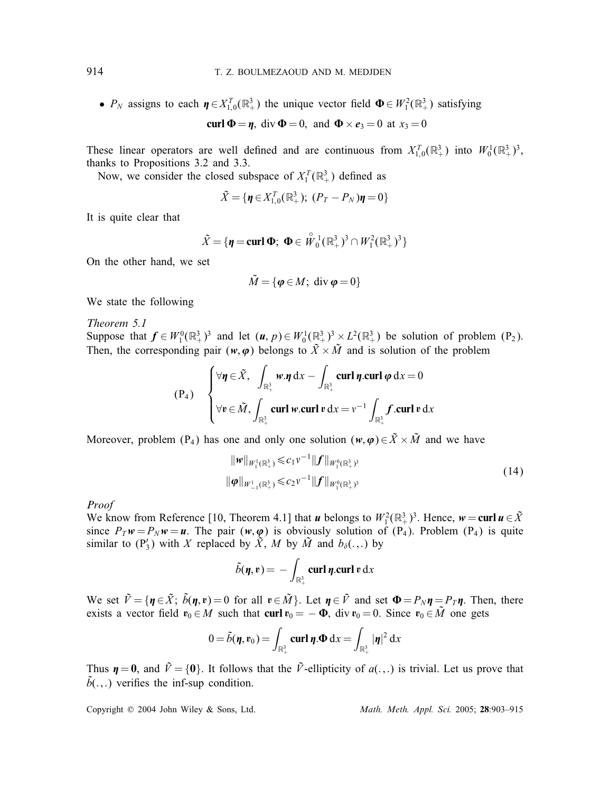•  $P_N$  assigns to each  $\eta \in X_{1,0}^T(\mathbb{R}^3_+)$  the unique vector field  $\Phi \in W_1^2(\mathbb{R}^3_+)$  satisfying curl  $\Phi = \eta$ , div  $\Phi = 0$ , and  $\Phi \times e_3 = 0$  at  $x_3 = 0$ 

These linear operators are well defined and are continuous from  $X_{1,0}^T(\mathbb{R}^3_+)$  into  $W_0^1(\mathbb{R}^3_+)^3$ , thanks to Propositions 3.2 and 3.3 thanks to Propositions 3.2 and 3.3.

Now, we consider the closed subspace of  $X_1^T(\mathbb{R}^3_+)$  defined as

$$
\tilde{X} = \{ \pmb{\eta} \in X_{1,0}^T(\mathbb{R}^3_+); \ (P_T - P_N) \pmb{\eta} = 0 \}
$$

It is quite clear that

$$
\tilde{X} = \{ \boldsymbol{\eta} = \textbf{curl } \boldsymbol{\Phi}; \ \boldsymbol{\Phi} \in \overset{\circ}{W}_0^1(\mathbb{R}^3_+)^3 \cap W_1^2(\mathbb{R}^3_+)^3 \}
$$

On the other hand, we set

$$
\tilde{M} = \{ \boldsymbol{\varphi} \in M; \text{ div } \boldsymbol{\varphi} = 0 \}
$$

We state the following

*Theorem 5.1* Suppose that  $f \in W_1^0(\mathbb{R}^3_+)$ <sup>3</sup> and let  $(u, p) \in W_0^1(\mathbb{R}^3_+)$ <sup>3</sup> ×  $L^2(\mathbb{R}^3_+)$  be solution of problem (P<sub>2</sub>).<br>Then the corresponding pair (*w*; c) belongs to  $\tilde{Y} \times \tilde{M}$  and is solution of the problem Then, the corresponding pair  $(w, \varphi)$  belongs to  $\tilde{X} \times \tilde{M}$  and is solution of the problem

$$
(P_4) \quad \begin{cases} \forall \eta \in \tilde{X}, \ \int_{\mathbb{R}^3_+} w.\eta \, dx - \int_{\mathbb{R}^3_+} \mathbf{curl} \, \eta.\mathbf{curl} \, \varphi \, dx = 0 \\ \forall v \in \tilde{M}, \int_{\mathbb{R}^3_+} \mathbf{curl} \, w.\mathbf{curl} \, v \, dx = v^{-1} \int_{\mathbb{R}^3_+} f.\mathbf{curl} \, v \, dx \end{cases}
$$

Moreover, problem (P<sub>4</sub>) has one and only one solution  $(w, \varphi) \in \tilde{X} \times \tilde{M}$  and we have

$$
\|\boldsymbol{w}\|_{W_1^1(\mathbb{R}^3_+)} \leq c_1 v^{-1} \|\boldsymbol{f}\|_{W_1^0(\mathbb{R}^3_+)} \|\boldsymbol{\varphi}\|_{W_{-1}^1(\mathbb{R}^3_+)} \leq c_2 v^{-1} \|\boldsymbol{f}\|_{W_1^0(\mathbb{R}^3_+)} (14)
$$

*Proof*

We know from Reference [10, Theorem 4.1] that *u* belongs to  $W_1^2(\mathbb{R}^3)$ <sup>3</sup>. Hence,  $w = \text{curl } u \in \tilde{X}$ <br>since  $P_x w = P_y w = u$ . The pair  $(w, \omega)$  is obviously solution of  $(P_1)$ . Problem  $(P_2)$  is quite since  $P_T w = P_N w = u$ . The pair  $(w, \varphi)$  is obviously solution of  $(P_4)$ . Problem  $(P_4)$  is quite similar to  $(P'_3)$  with X replaced by  $\tilde{X}$ , M by  $\tilde{M}$  and  $b_{\delta}(\cdot,\cdot)$  by

$$
\tilde{b}(\eta, v) = -\int_{\mathbb{R}^3_+} \operatorname{curl} \eta \operatorname{curl} v \, dx
$$

We set  $\tilde{V} = \{ \pmb{\eta} \in \tilde{X}; \ \tilde{b}(\pmb{\eta}, \pmb{v}) = 0 \text{ for all } \pmb{v} \in \tilde{M} \}$ . Let  $\pmb{\eta} \in \tilde{V}$  and set  $\pmb{\Phi} = P_N \pmb{\eta} = P_T \pmb{\eta}$ . Then, there exists a vector field  $\pmb{v}_0 \in M$  such that curl  $\pmb{v}_0 = -\pmb{\Phi}$  div  $\$ exists a vector field  $v_0 \in M$  such that curl  $v_0 = -\Phi$ , div  $v_0 = 0$ . Since  $v_0 \in \tilde{M}$  one gets

$$
0 = \tilde{b}(\boldsymbol{\eta}, \boldsymbol{v}_0) = \int_{\mathbb{R}^3_+} \mathbf{curl} \, \boldsymbol{\eta} . \mathbf{\Phi} \, \mathrm{d}x = \int_{\mathbb{R}^3_+} |\boldsymbol{\eta}|^2 \, \mathrm{d}x
$$

Thus  $\eta = 0$ , and  $\tilde{V} = \{0\}$ . It follows that the  $\tilde{V}$ -ellipticity of  $a(.,.)$  is trivial. Let us prove that  $\tilde{b}$ (...) verifies the inf-sup condition.